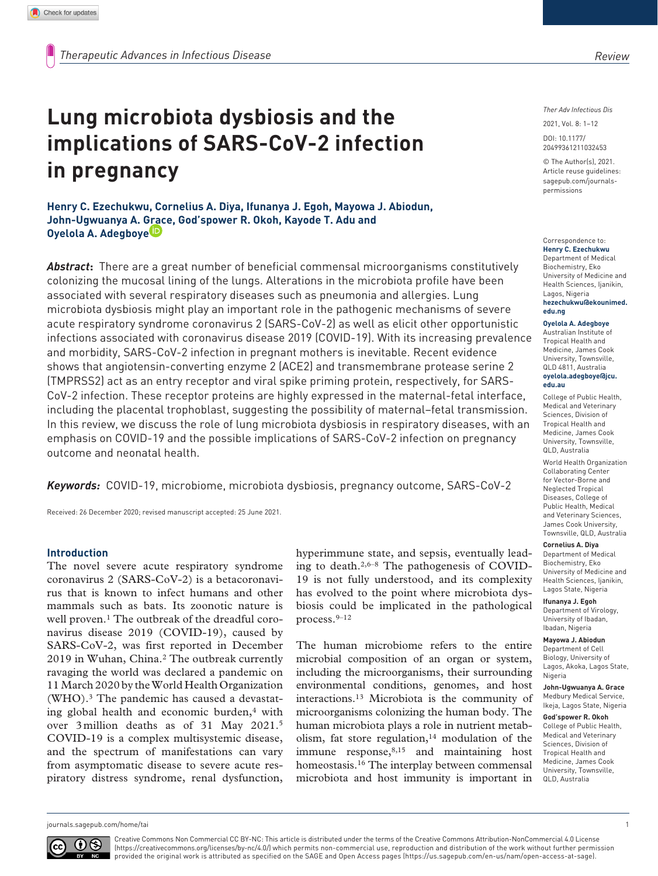# **Lung microbiota dysbiosis and the implications of SARS-CoV-2 infection in pregnancy**

**Henry C. Ezechukwu, Cornelius A. Diya, Ifunanya J. Egoh, Mayowa J. Abiodun, John-Ugwuanya A. Grace, God'spower R. Okoh, Kayode T. Adu and Oyelola A. Adegboye**

*Abstract***:** There are a great number of beneficial commensal microorganisms constitutively colonizing the mucosal lining of the lungs. Alterations in the microbiota profile have been associated with several respiratory diseases such as pneumonia and allergies. Lung microbiota dysbiosis might play an important role in the pathogenic mechanisms of severe acute respiratory syndrome coronavirus 2 (SARS-CoV-2) as well as elicit other opportunistic infections associated with coronavirus disease 2019 (COVID-19). With its increasing prevalence and morbidity, SARS-CoV-2 infection in pregnant mothers is inevitable. Recent evidence shows that angiotensin-converting enzyme 2 (ACE2) and transmembrane protease serine 2 (TMPRSS2) act as an entry receptor and viral spike priming protein, respectively, for SARS-CoV-2 infection. These receptor proteins are highly expressed in the maternal-fetal interface, including the placental trophoblast, suggesting the possibility of maternal–fetal transmission. In this review, we discuss the role of lung microbiota dysbiosis in respiratory diseases, with an emphasis on COVID-19 and the possible implications of SARS-CoV-2 infection on pregnancy outcome and neonatal health.

*Keywords:* COVID-19, microbiome, microbiota dysbiosis, pregnancy outcome, SARS-CoV-2

Received: 26 December 2020; revised manuscript accepted: 25 June 2021.

#### **Introduction**

The novel severe acute respiratory syndrome coronavirus 2 (SARS-CoV-2) is a betacoronavirus that is known to infect humans and other mammals such as bats. Its zoonotic nature is well proven.<sup>1</sup> The outbreak of the dreadful coronavirus disease 2019 (COVID-19), caused by SARS-CoV-2, was first reported in December 2019 in Wuhan, China.2 The outbreak currently ravaging the world was declared a pandemic on 11 March 2020 by the World Health Organization (WHO).3 The pandemic has caused a devastating global health and economic burden, $4$  with over 3 million deaths as of 31 May 2021.5 COVID-19 is a complex multisystemic disease, and the spectrum of manifestations can vary from asymptomatic disease to severe acute respiratory distress syndrome, renal dysfunction,

hyperimmune state, and sepsis, eventually leading to death.2,6–8 The pathogenesis of COVID-19 is not fully understood, and its complexity has evolved to the point where microbiota dysbiosis could be implicated in the pathological process.9–12

The human microbiome refers to the entire microbial composition of an organ or system, including the microorganisms, their surrounding environmental conditions, genomes, and host interactions.13 Microbiota is the community of microorganisms colonizing the human body. The human microbiota plays a role in nutrient metabolism, fat store regulation, $14$  modulation of the immune response, 8,15 and maintaining host homeostasis.16 The interplay between commensal microbiota and host immunity is important in *Review*

*Ther Adv Infectious Dis*

DOI: 10.1177/ 2021, Vol. 8: 1–12

© The Author(s), 2021. Article reuse guidelines: [sagepub.com/journals](https://uk.sagepub.com/en-gb/journals-permissions)[permissions](https://uk.sagepub.com/en-gb/journals-permissions)

20499361211032453

#### Correspondence to:

**Henry C. Ezechukwu** Department of Medical Biochemistry, Eko University of Medicine and Health Sciences, Ijanikin, Lagos, Nigeria **[hezechukwu@ekounimed.](mailto:hezechukwu@ekounimed.edu.ng) [edu.ng](mailto:hezechukwu@ekounimed.edu.ng)**

#### **Oyelola A. Adegboye**

Australian Institute of Tropical Health and Medicine, James Cook University, Townsville, QLD 4811, Australia **[oyelola.adegboye@jcu.](mailto:oyelola.adegboye@jcu.edu.au) [edu.au](mailto:oyelola.adegboye@jcu.edu.au)**

College of Public Health, Medical and Veterinary Sciences, Division of Tropical Health and Medicine, James Cook University, Townsville, QLD, Australia

World Health Organization Collaborating Center for Vector-Borne and Neglected Tropical Diseases, College of Public Health, Medical and Veterinary Sciences, James Cook University, Townsville, QLD, Australia

#### **Cornelius A. Diya** Department of Medical Biochemistry, Eko University of Medicine and Health Sciences, Ijanikin, Lagos State, Nigeria

**Ifunanya J. Egoh** Department of Virology, University of Ibadan, Ibadan, Nigeria

**Mayowa J. Abiodun** Department of Cell Biology, University of Lagos, Akoka, Lagos State, Nigeria

**John-Ugwuanya A. Grace** Medbury Medical Service, Ikeja, Lagos State, Nigeria

**God'spower R. Okoh** College of Public Health, Medical and Veterinary Sciences, Division of Tropical Health and Medicine, James Cook University, Townsville, QLD, Australia

[journals.sagepub.com/home/tai](https://journals.sagepub.com/home/tai) 1



Creative Commons Non Commercial CC BY-NC: This article is distributed under the terms of the Creative Commons Attribution-NonCommercial 4.0 License (https://creativecommons.org/licenses/by-nc/4.0/) which permits non-commercial use, reproduction and distribution of the work without further permission provided the original work is attributed as specified on the SAGE and Open Access pages (https://us.sagepub.com/en-us/nam/open-access-at-sage).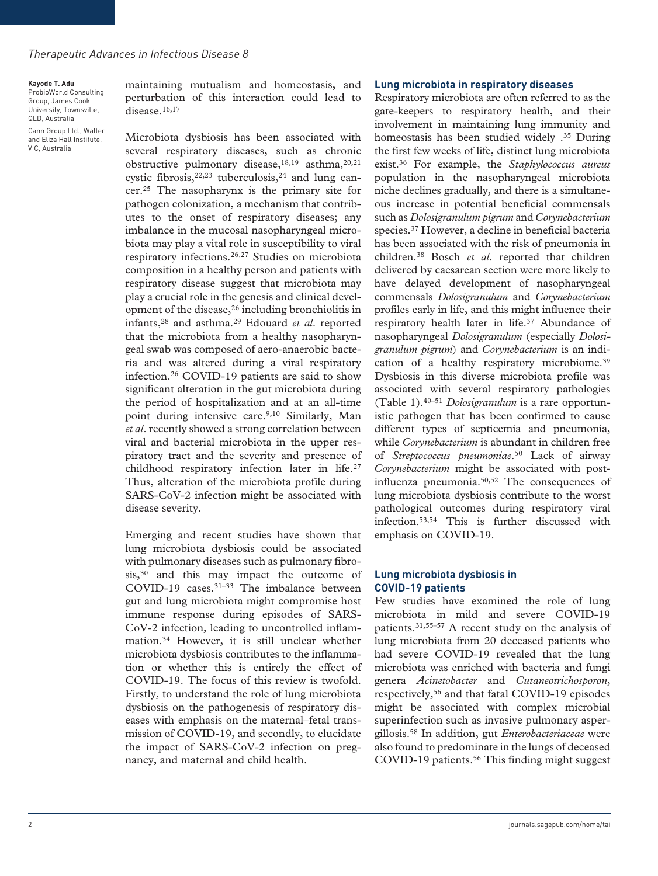**Kayode T. Adu** ProbioWorld Consulting Group, James Cook University, Townsville, QLD, Australia Cann Group Ltd., Walter and Eliza Hall Institute, VIC, Australia

maintaining mutualism and homeostasis, and perturbation of this interaction could lead to disease.<sup>16,17</sup>

Microbiota dysbiosis has been associated with several respiratory diseases, such as chronic obstructive pulmonary disease,  $18,19$  asthma,  $20,21$ cystic fibrosis,  $2^{2,23}$  tuberculosis,  $2^4$  and lung cancer.25 The nasopharynx is the primary site for pathogen colonization, a mechanism that contributes to the onset of respiratory diseases; any imbalance in the mucosal nasopharyngeal microbiota may play a vital role in susceptibility to viral respiratory infections.26,27 Studies on microbiota composition in a healthy person and patients with respiratory disease suggest that microbiota may play a crucial role in the genesis and clinical development of the disease,26 including bronchiolitis in infants,28 and asthma.29 Edouard *et al*. reported that the microbiota from a healthy nasopharyngeal swab was composed of aero-anaerobic bacteria and was altered during a viral respiratory infection.26 COVID-19 patients are said to show significant alteration in the gut microbiota during the period of hospitalization and at an all-time point during intensive care.<sup>9,10</sup> Similarly, Man *et al*. recently showed a strong correlation between viral and bacterial microbiota in the upper respiratory tract and the severity and presence of childhood respiratory infection later in life.<sup>27</sup> Thus, alteration of the microbiota profile during SARS-CoV-2 infection might be associated with disease severity.

Emerging and recent studies have shown that lung microbiota dysbiosis could be associated with pulmonary diseases such as pulmonary fibrosis,<sup>30</sup> and this may impact the outcome of COVID-19 cases.<sup>31-33</sup> The imbalance between gut and lung microbiota might compromise host immune response during episodes of SARS-CoV-2 infection, leading to uncontrolled inflammation.34 However, it is still unclear whether microbiota dysbiosis contributes to the inflammation or whether this is entirely the effect of COVID-19. The focus of this review is twofold. Firstly, to understand the role of lung microbiota dysbiosis on the pathogenesis of respiratory diseases with emphasis on the maternal–fetal transmission of COVID-19, and secondly, to elucidate the impact of SARS-CoV-2 infection on pregnancy, and maternal and child health.

#### **Lung microbiota in respiratory diseases**

Respiratory microbiota are often referred to as the gate-keepers to respiratory health, and their involvement in maintaining lung immunity and homeostasis has been studied widely .<sup>35</sup> During the first few weeks of life, distinct lung microbiota exist.36 For example, the *Staphylococcus aureus* population in the nasopharyngeal microbiota niche declines gradually, and there is a simultaneous increase in potential beneficial commensals such as *Dolosigranulum pigrum* and *Corynebacterium* species.37 However, a decline in beneficial bacteria has been associated with the risk of pneumonia in children.38 Bosch *et al*. reported that children delivered by caesarean section were more likely to have delayed development of nasopharyngeal commensals *Dolosigranulum* and *Corynebacterium* profiles early in life, and this might influence their respiratory health later in life.<sup>37</sup> Abundance of nasopharyngeal *Dolosigranulum* (especially *Dolosigranulum pigrum*) and *Corynebacterium* is an indication of a healthy respiratory microbiome.<sup>39</sup> Dysbiosis in this diverse microbiota profile was associated with several respiratory pathologies (Table 1).40–51 *Dolosigranulum* is a rare opportunistic pathogen that has been confirmed to cause different types of septicemia and pneumonia, while *Corynebacterium* is abundant in children free of *Streptococcus pneumoniae*.50 Lack of airway *Corynebacterium* might be associated with postinfluenza pneumonia.50,52 The consequences of lung microbiota dysbiosis contribute to the worst pathological outcomes during respiratory viral infection.53,54 This is further discussed with emphasis on COVID-19.

## **Lung microbiota dysbiosis in COVID-19 patients**

Few studies have examined the role of lung microbiota in mild and severe COVID-19 patients.31,55–57 A recent study on the analysis of lung microbiota from 20 deceased patients who had severe COVID-19 revealed that the lung microbiota was enriched with bacteria and fungi genera *Acinetobacter* and *Cutaneotrichosporon*, respectively,56 and that fatal COVID-19 episodes might be associated with complex microbial superinfection such as invasive pulmonary aspergillosis.58 In addition, gut *Enterobacteriaceae* were also found to predominate in the lungs of deceased COVID-19 patients.<sup>56</sup> This finding might suggest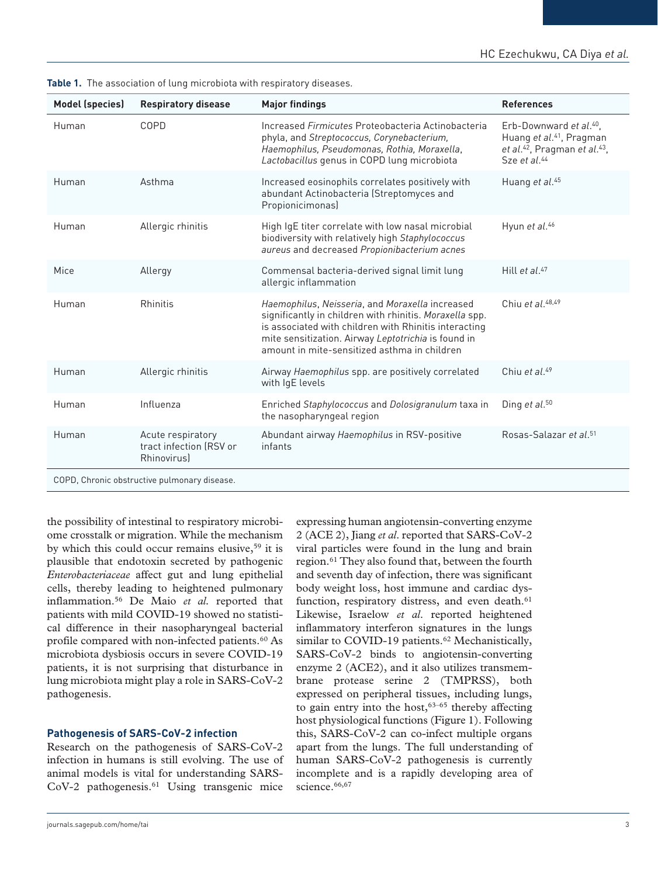| <b>Model (species)</b>                       | <b>Respiratory disease</b>                                        | <b>Major findings</b>                                                                                                                                                                                                                                                      | <b>References</b>                                                                                                                                                |  |  |  |  |  |
|----------------------------------------------|-------------------------------------------------------------------|----------------------------------------------------------------------------------------------------------------------------------------------------------------------------------------------------------------------------------------------------------------------------|------------------------------------------------------------------------------------------------------------------------------------------------------------------|--|--|--|--|--|
| Human                                        | COPD                                                              | Increased Firmicutes Proteobacteria Actinobacteria<br>phyla, and Streptococcus, Corynebacterium,<br>Haemophilus, Pseudomonas, Rothia, Moraxella,<br>Lactobacillus genus in COPD lung microbiota                                                                            | Erb-Downward et al. <sup>40</sup> ,<br>Huang et al. <sup>41</sup> , Pragman<br>et al. <sup>42</sup> , Pragman et al. <sup>43</sup> ,<br>Sze et al. <sup>44</sup> |  |  |  |  |  |
| Human                                        | Asthma                                                            | Increased eosinophils correlates positively with<br>abundant Actinobacteria (Streptomyces and<br>Propionicimonas)                                                                                                                                                          | Huang et al. <sup>45</sup>                                                                                                                                       |  |  |  |  |  |
| Human                                        | Allergic rhinitis                                                 | High IgE titer correlate with low nasal microbial<br>biodiversity with relatively high Staphylococcus<br>aureus and decreased Propionibacterium acnes                                                                                                                      | Hyun et al. <sup>46</sup>                                                                                                                                        |  |  |  |  |  |
| Mice                                         | Allergy                                                           | Commensal bacteria-derived signal limit lung<br>allergic inflammation                                                                                                                                                                                                      | Hill et al. $47$                                                                                                                                                 |  |  |  |  |  |
| Human                                        | Rhinitis                                                          | Haemophilus, Neisseria, and Moraxella increased<br>significantly in children with rhinitis. Moraxella spp.<br>is associated with children with Rhinitis interacting<br>mite sensitization. Airway Leptotrichia is found in<br>amount in mite-sensitized asthma in children | Chiu et al. $48,49$                                                                                                                                              |  |  |  |  |  |
| Human                                        | Allergic rhinitis                                                 | Airway Haemophilus spp. are positively correlated<br>with IgE levels                                                                                                                                                                                                       | Chiu et al. $49$                                                                                                                                                 |  |  |  |  |  |
| Human                                        | Influenza                                                         | Enriched Staphylococcus and Dolosigranulum taxa in<br>the nasopharyngeal region                                                                                                                                                                                            | Ding et al. <sup>50</sup>                                                                                                                                        |  |  |  |  |  |
| Human                                        | Acute respiratory<br>tract infection (RSV or<br><b>Rhinovirus</b> | Abundant airway Haemophilus in RSV-positive<br>infants                                                                                                                                                                                                                     | Rosas-Salazar et al. <sup>51</sup>                                                                                                                               |  |  |  |  |  |
| COPD, Chronic obstructive pulmonary disease. |                                                                   |                                                                                                                                                                                                                                                                            |                                                                                                                                                                  |  |  |  |  |  |

|  |  | Table 1. The association of lung microbiota with respiratory diseases. |  |  |  |  |  |  |  |
|--|--|------------------------------------------------------------------------|--|--|--|--|--|--|--|
|--|--|------------------------------------------------------------------------|--|--|--|--|--|--|--|

the possibility of intestinal to respiratory microbiome crosstalk or migration. While the mechanism by which this could occur remains elusive,<sup>59</sup> it is plausible that endotoxin secreted by pathogenic *Enterobacteriaceae* affect gut and lung epithelial cells, thereby leading to heightened pulmonary inflammation.56 De Maio *et al.* reported that patients with mild COVID-19 showed no statistical difference in their nasopharyngeal bacterial profile compared with non-infected patients.<sup>60</sup> As microbiota dysbiosis occurs in severe COVID-19 patients, it is not surprising that disturbance in lung microbiota might play a role in SARS-CoV-2 pathogenesis.

## **Pathogenesis of SARS-CoV-2 infection**

Research on the pathogenesis of SARS-CoV-2 infection in humans is still evolving. The use of animal models is vital for understanding SARS-CoV-2 pathogenesis.<sup>61</sup> Using transgenic mice expressing human angiotensin-converting enzyme 2 (ACE 2), Jiang *et al*. reported that SARS-CoV-2 viral particles were found in the lung and brain region.61 They also found that, between the fourth and seventh day of infection, there was significant body weight loss, host immune and cardiac dysfunction, respiratory distress, and even death.<sup>61</sup> Likewise, Israelow *et al*. reported heightened inflammatory interferon signatures in the lungs similar to COVID-19 patients.<sup>62</sup> Mechanistically, SARS-CoV-2 binds to angiotensin-converting enzyme 2 (ACE2), and it also utilizes transmembrane protease serine 2 (TMPRSS), both expressed on peripheral tissues, including lungs, to gain entry into the host, $63-65$  thereby affecting host physiological functions (Figure 1). Following this, SARS-CoV-2 can co-infect multiple organs apart from the lungs. The full understanding of human SARS-CoV-2 pathogenesis is currently incomplete and is a rapidly developing area of science.<sup>66,67</sup>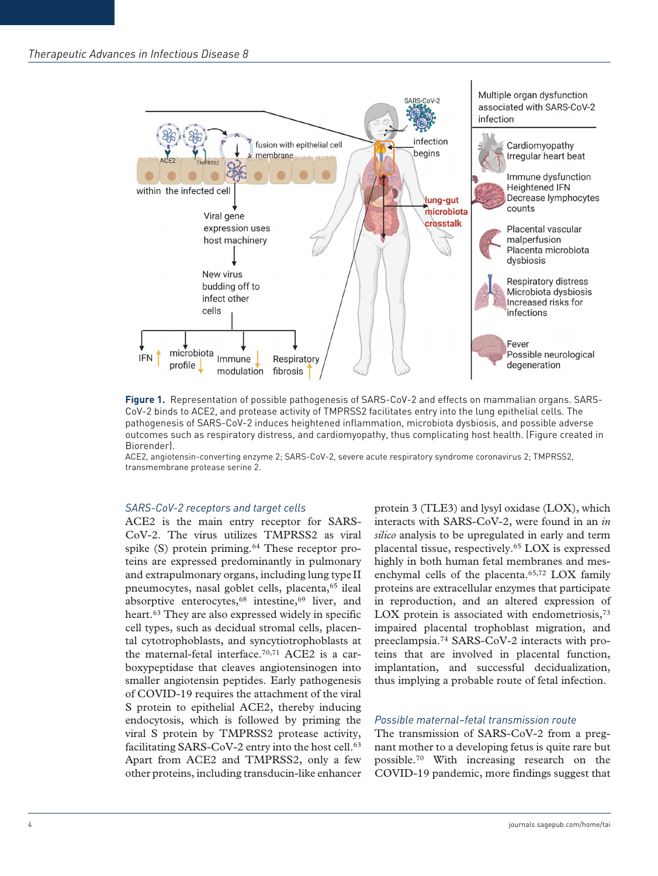## *Therapeutic Advances in Infectious Disease 8*



**Figure 1.** Representation of possible pathogenesis of SARS-CoV-2 and effects on mammalian organs. SARS-CoV-2 binds to ACE2, and protease activity of TMPRSS2 facilitates entry into the lung epithelial cells. The pathogenesis of SARS-CoV-2 induces heightened inflammation, microbiota dysbiosis, and possible adverse outcomes such as respiratory distress, and cardiomyopathy, thus complicating host health. (Figure created in Biorender).

ACE2, angiotensin-converting enzyme 2; SARS-CoV-2, severe acute respiratory syndrome coronavirus 2; TMPRSS2, transmembrane protease serine 2.

#### *SARS-CoV-2 receptors and target cells*

ACE2 is the main entry receptor for SARS-CoV-2. The virus utilizes TMPRSS2 as viral spike  $(S)$  protein priming.<sup>64</sup> These receptor proteins are expressed predominantly in pulmonary and extrapulmonary organs, including lung type II pneumocytes, nasal goblet cells, placenta,<sup>65</sup> ileal absorptive enterocytes,<sup>68</sup> intestine,<sup>69</sup> liver, and heart.<sup>63</sup> They are also expressed widely in specific cell types, such as decidual stromal cells, placental cytotrophoblasts, and syncytiotrophoblasts at the maternal-fetal interface.70,71 ACE2 is a carboxypeptidase that cleaves angiotensinogen into smaller angiotensin peptides. Early pathogenesis of COVID-19 requires the attachment of the viral S protein to epithelial ACE2, thereby inducing endocytosis, which is followed by priming the viral S protein by TMPRSS2 protease activity, facilitating SARS-CoV-2 entry into the host cell.<sup>63</sup> Apart from ACE2 and TMPRSS2, only a few other proteins, including transducin-like enhancer

protein 3 (TLE3) and lysyl oxidase (LOX), which interacts with SARS-CoV-2, were found in an *in silico* analysis to be upregulated in early and term placental tissue, respectively.65 LOX is expressed highly in both human fetal membranes and mesenchymal cells of the placenta.<sup>65,72</sup> LOX family proteins are extracellular enzymes that participate in reproduction, and an altered expression of LOX protein is associated with endometriosis,<sup>73</sup> impaired placental trophoblast migration, and preeclampsia.74 SARS-CoV-2 interacts with proteins that are involved in placental function, implantation, and successful decidualization, thus implying a probable route of fetal infection.

#### *Possible maternal–fetal transmission route*

The transmission of SARS-CoV-2 from a pregnant mother to a developing fetus is quite rare but possible.70 With increasing research on the COVID-19 pandemic, more findings suggest that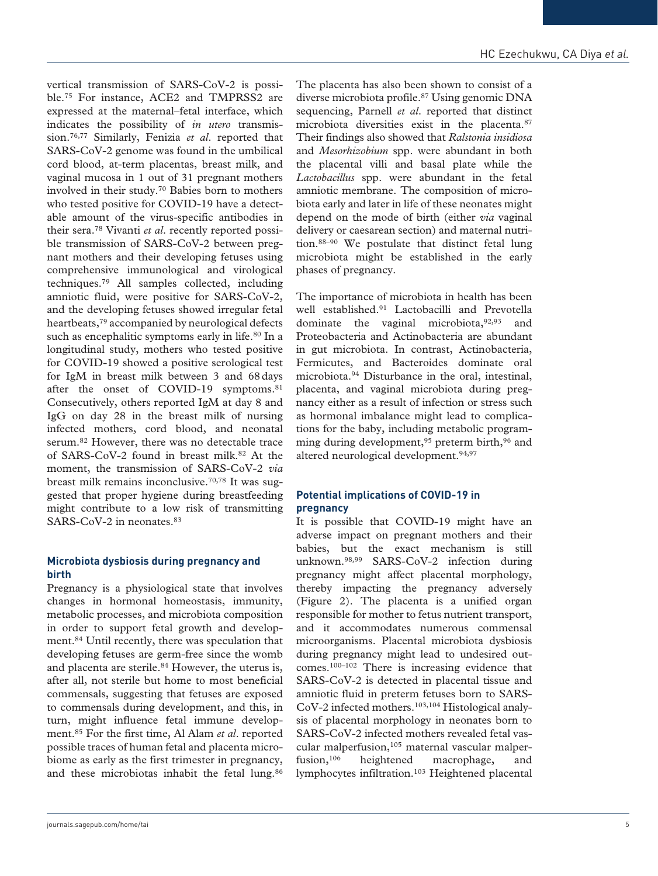vertical transmission of SARS-CoV-2 is possible.75 For instance, ACE2 and TMPRSS2 are expressed at the maternal–fetal interface, which indicates the possibility of *in utero* transmission.76,77 Similarly, Fenizia *et al*. reported that SARS-CoV-2 genome was found in the umbilical cord blood, at-term placentas, breast milk, and vaginal mucosa in 1 out of 31 pregnant mothers involved in their study.70 Babies born to mothers who tested positive for COVID-19 have a detectable amount of the virus-specific antibodies in their sera.78 Vivanti *et al*. recently reported possible transmission of SARS-CoV-2 between pregnant mothers and their developing fetuses using comprehensive immunological and virological techniques.79 All samples collected, including amniotic fluid, were positive for SARS-CoV-2, and the developing fetuses showed irregular fetal heartbeats,79 accompanied by neurological defects such as encephalitic symptoms early in life.<sup>80</sup> In a longitudinal study, mothers who tested positive for COVID-19 showed a positive serological test for IgM in breast milk between 3 and 68days after the onset of COVID-19 symptoms.<sup>81</sup> Consecutively, others reported IgM at day 8 and IgG on day 28 in the breast milk of nursing infected mothers, cord blood, and neonatal serum.82 However, there was no detectable trace of SARS-CoV-2 found in breast milk.82 At the moment, the transmission of SARS-CoV-2 *via* breast milk remains inconclusive.70,78 It was suggested that proper hygiene during breastfeeding might contribute to a low risk of transmitting SARS-CoV-2 in neonates.<sup>83</sup>

# **Microbiota dysbiosis during pregnancy and birth**

Pregnancy is a physiological state that involves changes in hormonal homeostasis, immunity, metabolic processes, and microbiota composition in order to support fetal growth and development.84 Until recently, there was speculation that developing fetuses are germ-free since the womb and placenta are sterile.<sup>84</sup> However, the uterus is, after all, not sterile but home to most beneficial commensals, suggesting that fetuses are exposed to commensals during development, and this, in turn, might influence fetal immune development.85 For the first time, Al Alam *et al*. reported possible traces of human fetal and placenta microbiome as early as the first trimester in pregnancy, and these microbiotas inhabit the fetal lung.<sup>86</sup>

The placenta has also been shown to consist of a diverse microbiota profile.87 Using genomic DNA sequencing, Parnell *et al*. reported that distinct microbiota diversities exist in the placenta.87 Their findings also showed that *Ralstonia insidiosa* and *Mesorhizobium* spp. were abundant in both the placental villi and basal plate while the *Lactobacillus* spp. were abundant in the fetal amniotic membrane. The composition of microbiota early and later in life of these neonates might depend on the mode of birth (either *via* vaginal delivery or caesarean section) and maternal nutrition.88–90 We postulate that distinct fetal lung microbiota might be established in the early phases of pregnancy.

The importance of microbiota in health has been well established.91 Lactobacilli and Prevotella dominate the vaginal microbiota,92,93 and Proteobacteria and Actinobacteria are abundant in gut microbiota. In contrast, Actinobacteria, Fermicutes, and Bacteroides dominate oral microbiota.94 Disturbance in the oral, intestinal, placenta, and vaginal microbiota during pregnancy either as a result of infection or stress such as hormonal imbalance might lead to complications for the baby, including metabolic programming during development,  $95$  preterm birth,  $96$  and altered neurological development.94,97

# **Potential implications of COVID-19 in pregnancy**

It is possible that COVID-19 might have an adverse impact on pregnant mothers and their babies, but the exact mechanism is still unknown.98,99 SARS-CoV-2 infection during pregnancy might affect placental morphology, thereby impacting the pregnancy adversely (Figure 2). The placenta is a unified organ responsible for mother to fetus nutrient transport, and it accommodates numerous commensal microorganisms. Placental microbiota dysbiosis during pregnancy might lead to undesired outcomes.100–102 There is increasing evidence that SARS-CoV-2 is detected in placental tissue and amniotic fluid in preterm fetuses born to SARS-CoV-2 infected mothers.103,104 Histological analysis of placental morphology in neonates born to SARS-CoV-2 infected mothers revealed fetal vascular malperfusion, $105$  maternal vascular malperfusion,<sup>106</sup> heightened macrophage, and lymphocytes infiltration.103 Heightened placental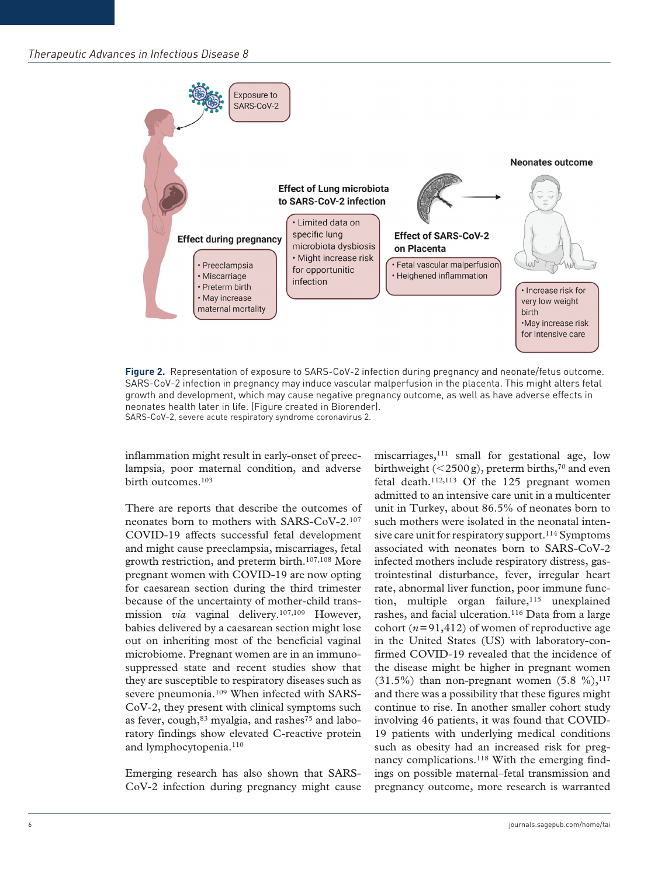

**Figure 2.** Representation of exposure to SARS-CoV-2 infection during pregnancy and neonate/fetus outcome. SARS-CoV-2 infection in pregnancy may induce vascular malperfusion in the placenta. This might alters fetal growth and development, which may cause negative pregnancy outcome, as well as have adverse effects in neonates health later in life. (Figure created in Biorender). SARS-CoV-2, severe acute respiratory syndrome coronavirus 2.

inflammation might result in early-onset of preeclampsia, poor maternal condition, and adverse birth outcomes.103

There are reports that describe the outcomes of neonates born to mothers with SARS-CoV-2.107 COVID-19 affects successful fetal development and might cause preeclampsia, miscarriages, fetal growth restriction, and preterm birth.107,108 More pregnant women with COVID-19 are now opting for caesarean section during the third trimester because of the uncertainty of mother-child transmission *via* vaginal delivery.<sup>107,109</sup> However, babies delivered by a caesarean section might lose out on inheriting most of the beneficial vaginal microbiome. Pregnant women are in an immunosuppressed state and recent studies show that they are susceptible to respiratory diseases such as severe pneumonia.<sup>109</sup> When infected with SARS-CoV-2, they present with clinical symptoms such as fever,  $cough$ ,  $83$  myalgia, and rashes<sup>75</sup> and laboratory findings show elevated C-reactive protein and lymphocytopenia.<sup>110</sup>

Emerging research has also shown that SARS-CoV-2 infection during pregnancy might cause miscarriages,111 small for gestational age, low birthweight ( $\leq$ 2500g), preterm births,<sup>70</sup> and even fetal death.112,113 Of the 125 pregnant women admitted to an intensive care unit in a multicenter unit in Turkey, about 86.5% of neonates born to such mothers were isolated in the neonatal intensive care unit for respiratory support.<sup>114</sup> Symptoms associated with neonates born to SARS-CoV-2 infected mothers include respiratory distress, gastrointestinal disturbance, fever, irregular heart rate, abnormal liver function, poor immune function, multiple organ failure, $115$  unexplained rashes, and facial ulceration.<sup>116</sup> Data from a large cohort  $(n=91, 412)$  of women of reproductive age in the United States (US) with laboratory-confirmed COVID-19 revealed that the incidence of the disease might be higher in pregnant women (31.5%) than non-pregnant women  $(5.8 \%)$ ,<sup>117</sup> and there was a possibility that these figures might continue to rise. In another smaller cohort study involving 46 patients, it was found that COVID-19 patients with underlying medical conditions such as obesity had an increased risk for pregnancy complications.<sup>118</sup> With the emerging findings on possible maternal–fetal transmission and pregnancy outcome, more research is warranted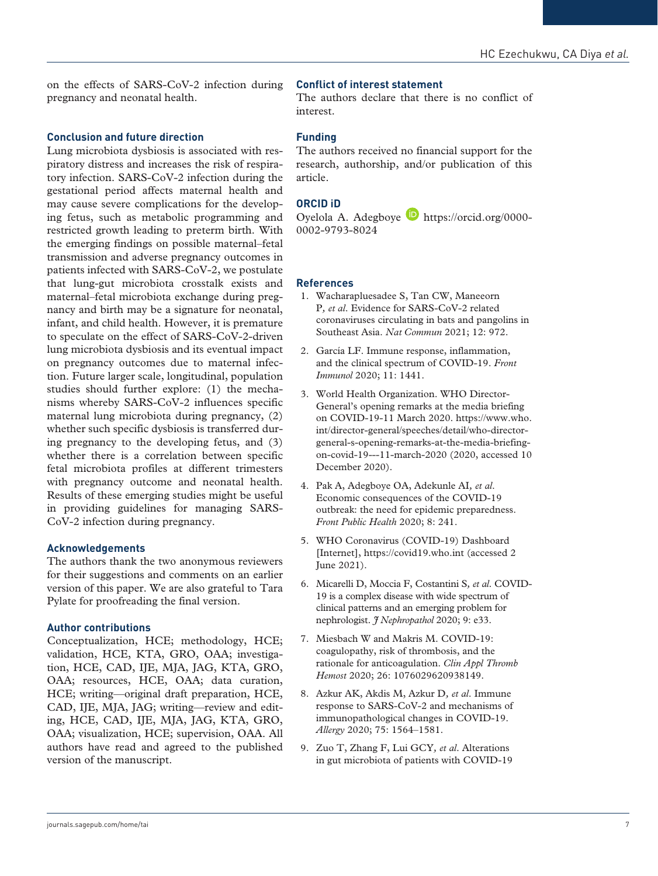on the effects of SARS-CoV-2 infection during pregnancy and neonatal health.

# **Conclusion and future direction**

Lung microbiota dysbiosis is associated with respiratory distress and increases the risk of respiratory infection. SARS-CoV-2 infection during the gestational period affects maternal health and may cause severe complications for the developing fetus, such as metabolic programming and restricted growth leading to preterm birth. With the emerging findings on possible maternal–fetal transmission and adverse pregnancy outcomes in patients infected with SARS-CoV-2, we postulate that lung-gut microbiota crosstalk exists and maternal–fetal microbiota exchange during pregnancy and birth may be a signature for neonatal, infant, and child health. However, it is premature to speculate on the effect of SARS-CoV-2-driven lung microbiota dysbiosis and its eventual impact on pregnancy outcomes due to maternal infection. Future larger scale, longitudinal, population studies should further explore: (1) the mechanisms whereby SARS-CoV-2 influences specific maternal lung microbiota during pregnancy, (2) whether such specific dysbiosis is transferred during pregnancy to the developing fetus, and (3) whether there is a correlation between specific fetal microbiota profiles at different trimesters with pregnancy outcome and neonatal health. Results of these emerging studies might be useful in providing guidelines for managing SARS-CoV-2 infection during pregnancy.

## **Acknowledgements**

The authors thank the two anonymous reviewers for their suggestions and comments on an earlier version of this paper. We are also grateful to Tara Pylate for proofreading the final version.

## **Author contributions**

Conceptualization, HCE; methodology, HCE; validation, HCE, KTA, GRO, OAA; investigation, HCE, CAD, IJE, MJA, JAG, KTA, GRO, OAA; resources, HCE, OAA; data curation, HCE; writing—original draft preparation, HCE, CAD, IJE, MJA, JAG; writing—review and editing, HCE, CAD, IJE, MJA, JAG, KTA, GRO, OAA; visualization, HCE; supervision, OAA. All authors have read and agreed to the published version of the manuscript.

#### **Conflict of interest statement**

The authors declare that there is no conflict of interest.

#### **Funding**

The authors received no financial support for the research, authorship, and/or publication of this article.

#### **ORCID iD**

Oyelola A. Adegboye [https://orcid.org/0000-](https://orcid.org/0000-0002-9793-8024) [0002-9793-8024](https://orcid.org/0000-0002-9793-8024)

#### **References**

- 1. Wacharapluesadee S, Tan CW, Maneeorn P*, et al*. Evidence for SARS-CoV-2 related coronaviruses circulating in bats and pangolins in Southeast Asia. *Nat Commun* 2021; 12: 972.
- 2. García LF. Immune response, inflammation, and the clinical spectrum of COVID-19. *Front Immunol* 2020; 11: 1441.
- 3. World Health Organization. WHO Director-General's opening remarks at the media briefing on COVID-19-11 March 2020. [https://www.who.](https://www.who.int/director-general/speeches/detail/who-director-general-s-opening-remarks-at-the-media-briefing-on-covid-19---11-march-2020) [int/director-general/speeches/detail/who-director](https://www.who.int/director-general/speeches/detail/who-director-general-s-opening-remarks-at-the-media-briefing-on-covid-19---11-march-2020)[general-s-opening-remarks-at-the-media-briefing](https://www.who.int/director-general/speeches/detail/who-director-general-s-opening-remarks-at-the-media-briefing-on-covid-19---11-march-2020)[on-covid-19---11-march-2020](https://www.who.int/director-general/speeches/detail/who-director-general-s-opening-remarks-at-the-media-briefing-on-covid-19---11-march-2020) (2020, accessed 10 December 2020).
- 4. Pak A, Adegboye OA, Adekunle AI*, et al*. Economic consequences of the COVID-19 outbreak: the need for epidemic preparedness. *Front Public Health* 2020; 8: 241.
- 5. WHO Coronavirus (COVID-19) Dashboard [Internet], <https://covid19.who.int> (accessed 2 June 2021).
- 6. Micarelli D, Moccia F, Costantini S*, et al*. COVID-19 is a complex disease with wide spectrum of clinical patterns and an emerging problem for nephrologist. *J Nephropathol* 2020; 9: e33.
- 7. Miesbach W and Makris M. COVID-19: coagulopathy, risk of thrombosis, and the rationale for anticoagulation. *Clin Appl Thromb Hemost* 2020; 26: 1076029620938149.
- 8. Azkur AK, Akdis M, Azkur D*, et al*. Immune response to SARS-CoV-2 and mechanisms of immunopathological changes in COVID-19. *Allergy* 2020; 75: 1564–1581.
- 9. Zuo T, Zhang F, Lui GCY*, et al*. Alterations in gut microbiota of patients with COVID-19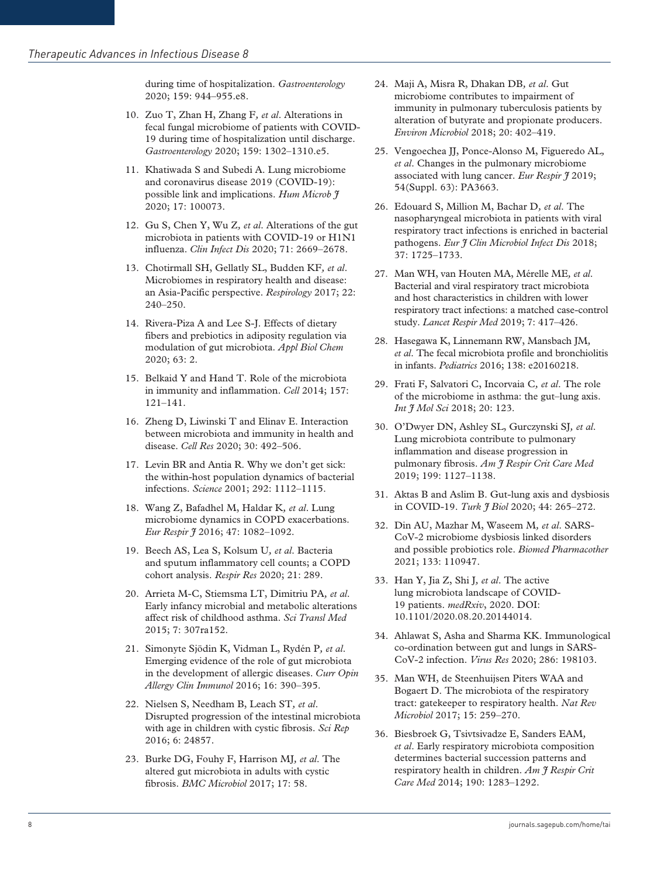during time of hospitalization. *Gastroenterology* 2020; 159: 944–955.e8.

- 10. Zuo T, Zhan H, Zhang F*, et al*. Alterations in fecal fungal microbiome of patients with COVID-19 during time of hospitalization until discharge. *Gastroenterology* 2020; 159: 1302–1310.e5.
- 11. Khatiwada S and Subedi A. Lung microbiome and coronavirus disease 2019 (COVID-19): possible link and implications. *Hum Microb J* 2020; 17: 100073.
- 12. Gu S, Chen Y, Wu Z*, et al*. Alterations of the gut microbiota in patients with COVID-19 or H1N1 influenza. *Clin Infect Dis* 2020; 71: 2669–2678.
- 13. Chotirmall SH, Gellatly SL, Budden KF*, et al*. Microbiomes in respiratory health and disease: an Asia-Pacific perspective. *Respirology* 2017; 22: 240–250.
- 14. Rivera-Piza A and Lee S-J. Effects of dietary fibers and prebiotics in adiposity regulation via modulation of gut microbiota. *Appl Biol Chem* 2020; 63: 2.
- 15. Belkaid Y and Hand T. Role of the microbiota in immunity and inflammation. *Cell* 2014; 157: 121–141.
- 16. Zheng D, Liwinski T and Elinav E. Interaction between microbiota and immunity in health and disease. *Cell Res* 2020; 30: 492–506.
- 17. Levin BR and Antia R. Why we don't get sick: the within-host population dynamics of bacterial infections. *Science* 2001; 292: 1112–1115.
- 18. Wang Z, Bafadhel M, Haldar K*, et al*. Lung microbiome dynamics in COPD exacerbations. *Eur Respir J* 2016; 47: 1082–1092.
- 19. Beech AS, Lea S, Kolsum U*, et al*. Bacteria and sputum inflammatory cell counts; a COPD cohort analysis. *Respir Res* 2020; 21: 289.
- 20. Arrieta M-C, Stiemsma LT, Dimitriu PA*, et al*. Early infancy microbial and metabolic alterations affect risk of childhood asthma. *Sci Transl Med* 2015; 7: 307ra152.
- 21. Simonyte Sjödin K, Vidman L, Rydén P*, et al*. Emerging evidence of the role of gut microbiota in the development of allergic diseases. *Curr Opin Allergy Clin Immunol* 2016; 16: 390–395.
- 22. Nielsen S, Needham B, Leach ST*, et al*. Disrupted progression of the intestinal microbiota with age in children with cystic fibrosis. *Sci Rep* 2016; 6: 24857.
- 23. Burke DG, Fouhy F, Harrison MJ*, et al*. The altered gut microbiota in adults with cystic fibrosis. *BMC Microbiol* 2017; 17: 58.
- 24. Maji A, Misra R, Dhakan DB*, et al*. Gut microbiome contributes to impairment of immunity in pulmonary tuberculosis patients by alteration of butyrate and propionate producers. *Environ Microbiol* 2018; 20: 402–419.
- 25. Vengoechea JJ, Ponce-Alonso M, Figueredo AL*, et al*. Changes in the pulmonary microbiome associated with lung cancer. *Eur Respir J* 2019; 54(Suppl. 63): PA3663.
- 26. Edouard S, Million M, Bachar D*, et al*. The nasopharyngeal microbiota in patients with viral respiratory tract infections is enriched in bacterial pathogens. *Eur J Clin Microbiol Infect Dis* 2018; 37: 1725–1733.
- 27. Man WH, van Houten MA, Mérelle ME*, et al*. Bacterial and viral respiratory tract microbiota and host characteristics in children with lower respiratory tract infections: a matched case-control study. *Lancet Respir Med* 2019; 7: 417–426.
- 28. Hasegawa K, Linnemann RW, Mansbach JM*, et al*. The fecal microbiota profile and bronchiolitis in infants. *Pediatrics* 2016; 138: e20160218.
- 29. Frati F, Salvatori C, Incorvaia C*, et al*. The role of the microbiome in asthma: the gut–lung axis. *Int J Mol Sci* 2018; 20: 123.
- 30. O'Dwyer DN, Ashley SL, Gurczynski SJ*, et al*. Lung microbiota contribute to pulmonary inflammation and disease progression in pulmonary fibrosis. *Am J Respir Crit Care Med* 2019; 199: 1127–1138.
- 31. Aktas B and Aslim B. Gut-lung axis and dysbiosis in COVID-19. *Turk J Biol* 2020; 44: 265–272.
- 32. Din AU, Mazhar M, Waseem M*, et al*. SARS-CoV-2 microbiome dysbiosis linked disorders and possible probiotics role. *Biomed Pharmacother* 2021; 133: 110947.
- 33. Han Y, Jia Z, Shi J*, et al*. The active lung microbiota landscape of COVID-19 patients. *medRxiv*, 2020. DOI: 10.1101/2020.08.20.20144014.
- 34. Ahlawat S, Asha and Sharma KK. Immunological co-ordination between gut and lungs in SARS-CoV-2 infection. *Virus Res* 2020; 286: 198103.
- 35. Man WH, de Steenhuijsen Piters WAA and Bogaert D. The microbiota of the respiratory tract: gatekeeper to respiratory health. *Nat Rev Microbiol* 2017; 15: 259–270.
- 36. Biesbroek G, Tsivtsivadze E, Sanders EAM*, et al*. Early respiratory microbiota composition determines bacterial succession patterns and respiratory health in children. *Am J Respir Crit Care Med* 2014; 190: 1283–1292.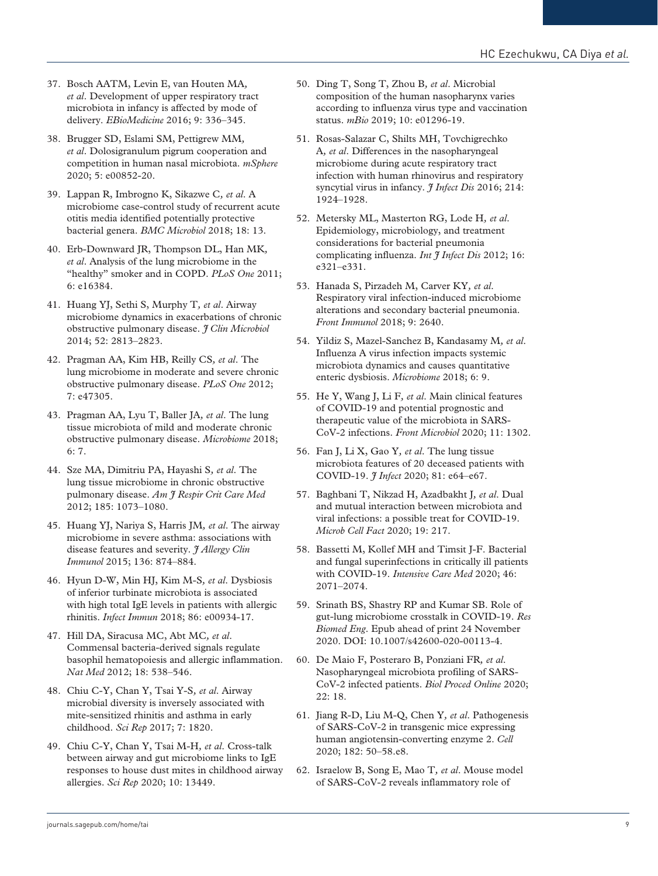- 37. Bosch AATM, Levin E, van Houten MA*, et al*. Development of upper respiratory tract microbiota in infancy is affected by mode of delivery. *EBioMedicine* 2016; 9: 336–345.
- 38. Brugger SD, Eslami SM, Pettigrew MM*, et al*. Dolosigranulum pigrum cooperation and competition in human nasal microbiota. *mSphere* 2020; 5: e00852-20.
- 39. Lappan R, Imbrogno K, Sikazwe C*, et al*. A microbiome case-control study of recurrent acute otitis media identified potentially protective bacterial genera. *BMC Microbiol* 2018; 18: 13.
- 40. Erb-Downward JR, Thompson DL, Han MK*, et al*. Analysis of the lung microbiome in the "healthy" smoker and in COPD. *PLoS One* 2011; 6: e16384.
- 41. Huang YJ, Sethi S, Murphy T*, et al*. Airway microbiome dynamics in exacerbations of chronic obstructive pulmonary disease. *J Clin Microbiol* 2014; 52: 2813–2823.
- 42. Pragman AA, Kim HB, Reilly CS*, et al*. The lung microbiome in moderate and severe chronic obstructive pulmonary disease. *PLoS One* 2012; 7: e47305.
- 43. Pragman AA, Lyu T, Baller JA*, et al*. The lung tissue microbiota of mild and moderate chronic obstructive pulmonary disease. *Microbiome* 2018; 6: 7.
- 44. Sze MA, Dimitriu PA, Hayashi S*, et al*. The lung tissue microbiome in chronic obstructive pulmonary disease. *Am J Respir Crit Care Med* 2012; 185: 1073–1080.
- 45. Huang YJ, Nariya S, Harris JM*, et al*. The airway microbiome in severe asthma: associations with disease features and severity. *J Allergy Clin Immunol* 2015; 136: 874–884.
- 46. Hyun D-W, Min HJ, Kim M-S*, et al*. Dysbiosis of inferior turbinate microbiota is associated with high total IgE levels in patients with allergic rhinitis. *Infect Immun* 2018; 86: e00934-17.
- 47. Hill DA, Siracusa MC, Abt MC*, et al*. Commensal bacteria-derived signals regulate basophil hematopoiesis and allergic inflammation. *Nat Med* 2012; 18: 538–546.
- 48. Chiu C-Y, Chan Y, Tsai Y-S*, et al*. Airway microbial diversity is inversely associated with mite-sensitized rhinitis and asthma in early childhood. *Sci Rep* 2017; 7: 1820.
- 49. Chiu C-Y, Chan Y, Tsai M-H*, et al*. Cross-talk between airway and gut microbiome links to IgE responses to house dust mites in childhood airway allergies. *Sci Rep* 2020; 10: 13449.
- 50. Ding T, Song T, Zhou B*, et al*. Microbial composition of the human nasopharynx varies according to influenza virus type and vaccination status. *mBio* 2019; 10: e01296-19.
- 51. Rosas-Salazar C, Shilts MH, Tovchigrechko A*, et al*. Differences in the nasopharyngeal microbiome during acute respiratory tract infection with human rhinovirus and respiratory syncytial virus in infancy. *I Infect Dis* 2016; 214: 1924–1928.
- 52. Metersky ML, Masterton RG, Lode H*, et al*. Epidemiology, microbiology, and treatment considerations for bacterial pneumonia complicating influenza. *Int J Infect Dis* 2012; 16: e321–e331.
- 53. Hanada S, Pirzadeh M, Carver KY*, et al*. Respiratory viral infection-induced microbiome alterations and secondary bacterial pneumonia. *Front Immunol* 2018; 9: 2640.
- 54. Yildiz S, Mazel-Sanchez B, Kandasamy M*, et al*. Influenza A virus infection impacts systemic microbiota dynamics and causes quantitative enteric dysbiosis. *Microbiome* 2018; 6: 9.
- 55. He Y, Wang J, Li F*, et al*. Main clinical features of COVID-19 and potential prognostic and therapeutic value of the microbiota in SARS-CoV-2 infections. *Front Microbiol* 2020; 11: 1302.
- 56. Fan J, Li X, Gao Y*, et al*. The lung tissue microbiota features of 20 deceased patients with COVID-19. *J Infect* 2020; 81: e64–e67.
- 57. Baghbani T, Nikzad H, Azadbakht J*, et al*. Dual and mutual interaction between microbiota and viral infections: a possible treat for COVID-19. *Microb Cell Fact* 2020; 19: 217.
- 58. Bassetti M, Kollef MH and Timsit J-F. Bacterial and fungal superinfections in critically ill patients with COVID-19. *Intensive Care Med* 2020; 46: 2071–2074.
- 59. Srinath BS, Shastry RP and Kumar SB. Role of gut-lung microbiome crosstalk in COVID-19. *Res Biomed Eng*. Epub ahead of print 24 November 2020. DOI: 10.1007/s42600-020-00113-4.
- 60. De Maio F, Posteraro B, Ponziani FR*, et al*. Nasopharyngeal microbiota profiling of SARS-CoV-2 infected patients. *Biol Proced Online* 2020; 22: 18.
- 61. Jiang R-D, Liu M-Q, Chen Y*, et al*. Pathogenesis of SARS-CoV-2 in transgenic mice expressing human angiotensin-converting enzyme 2. *Cell* 2020; 182: 50–58.e8.
- 62. Israelow B, Song E, Mao T*, et al*. Mouse model of SARS-CoV-2 reveals inflammatory role of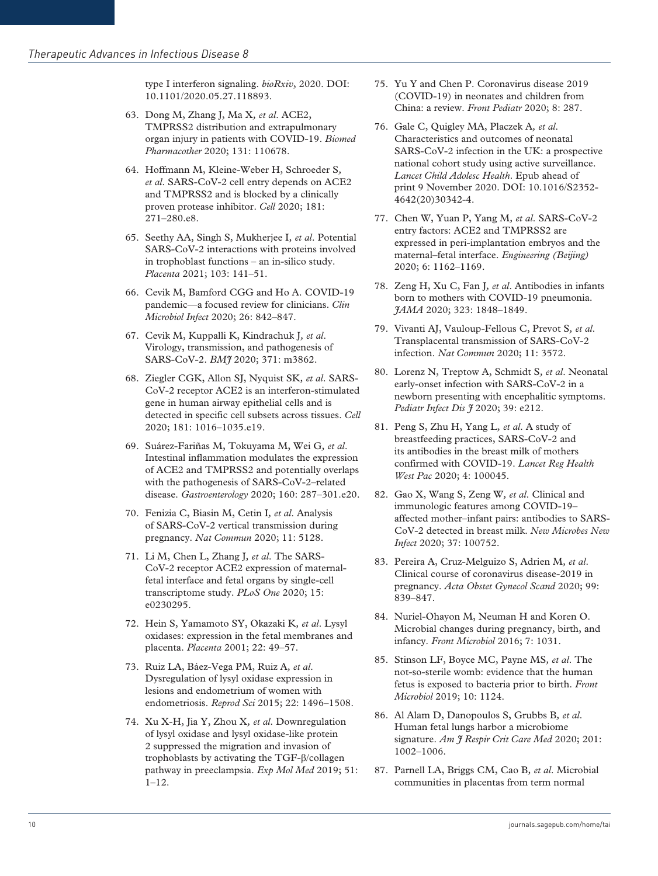type I interferon signaling. *bioRxiv*, 2020. DOI: 10.1101/2020.05.27.118893.

- 63. Dong M, Zhang J, Ma X*, et al*. ACE2, TMPRSS2 distribution and extrapulmonary organ injury in patients with COVID-19. *Biomed Pharmacother* 2020; 131: 110678.
- 64. Hoffmann M, Kleine-Weber H, Schroeder S*, et al*. SARS-CoV-2 cell entry depends on ACE2 and TMPRSS2 and is blocked by a clinically proven protease inhibitor. *Cell* 2020; 181: 271–280.e8.
- 65. Seethy AA, Singh S, Mukherjee I*, et al*. Potential SARS-CoV-2 interactions with proteins involved in trophoblast functions – an in-silico study. *Placenta* 2021; 103: 141–51.
- 66. Cevik M, Bamford CGG and Ho A. COVID-19 pandemic—a focused review for clinicians. *Clin Microbiol Infect* 2020; 26: 842–847.
- 67. Cevik M, Kuppalli K, Kindrachuk J*, et al*. Virology, transmission, and pathogenesis of SARS-CoV-2. *BMJ* 2020; 371: m3862.
- 68. Ziegler CGK, Allon SJ, Nyquist SK*, et al*. SARS-CoV-2 receptor ACE2 is an interferon-stimulated gene in human airway epithelial cells and is detected in specific cell subsets across tissues. *Cell* 2020; 181: 1016–1035.e19.
- 69. Suárez-Fariñas M, Tokuyama M, Wei G*, et al*. Intestinal inflammation modulates the expression of ACE2 and TMPRSS2 and potentially overlaps with the pathogenesis of SARS-CoV-2–related disease. *Gastroenterology* 2020; 160: 287–301.e20.
- 70. Fenizia C, Biasin M, Cetin I*, et al*. Analysis of SARS-CoV-2 vertical transmission during pregnancy. *Nat Commun* 2020; 11: 5128.
- 71. Li M, Chen L, Zhang J*, et al*. The SARS-CoV-2 receptor ACE2 expression of maternalfetal interface and fetal organs by single-cell transcriptome study. *PLoS One* 2020; 15: e0230295.
- 72. Hein S, Yamamoto SY, Okazaki K*, et al*. Lysyl oxidases: expression in the fetal membranes and placenta. *Placenta* 2001; 22: 49–57.
- 73. Ruiz LA, Báez-Vega PM, Ruiz A*, et al*. Dysregulation of lysyl oxidase expression in lesions and endometrium of women with endometriosis. *Reprod Sci* 2015; 22: 1496–1508.
- 74. Xu X-H, Jia Y, Zhou X*, et al*. Downregulation of lysyl oxidase and lysyl oxidase-like protein 2 suppressed the migration and invasion of trophoblasts by activating the TGF-β/collagen pathway in preeclampsia. *Exp Mol Med* 2019; 51:  $1 - 12$ .
- 75. Yu Y and Chen P. Coronavirus disease 2019 (COVID-19) in neonates and children from China: a review. *Front Pediatr* 2020; 8: 287.
- 76. Gale C, Quigley MA, Placzek A*, et al*. Characteristics and outcomes of neonatal SARS-CoV-2 infection in the UK: a prospective national cohort study using active surveillance. *Lancet Child Adolesc Health*. Epub ahead of print 9 November 2020. DOI: 10.1016/S2352- 4642(20)30342-4.
- 77. Chen W, Yuan P, Yang M*, et al*. SARS-CoV-2 entry factors: ACE2 and TMPRSS2 are expressed in peri-implantation embryos and the maternal–fetal interface. *Engineering (Beijing)* 2020; 6: 1162–1169.
- 78. Zeng H, Xu C, Fan J*, et al*. Antibodies in infants born to mothers with COVID-19 pneumonia. *JAMA* 2020; 323: 1848–1849.
- 79. Vivanti AJ, Vauloup-Fellous C, Prevot S*, et al*. Transplacental transmission of SARS-CoV-2 infection. *Nat Commun* 2020; 11: 3572.
- 80. Lorenz N, Treptow A, Schmidt S*, et al*. Neonatal early-onset infection with SARS-CoV-2 in a newborn presenting with encephalitic symptoms. *Pediatr Infect Dis J* 2020; 39: e212.
- 81. Peng S, Zhu H, Yang L*, et al*. A study of breastfeeding practices, SARS-CoV-2 and its antibodies in the breast milk of mothers confirmed with COVID-19. *Lancet Reg Health West Pac* 2020; 4: 100045.
- 82. Gao X, Wang S, Zeng W*, et al*. Clinical and immunologic features among COVID-19– affected mother–infant pairs: antibodies to SARS-CoV-2 detected in breast milk. *New Microbes New Infect* 2020; 37: 100752.
- 83. Pereira A, Cruz-Melguizo S, Adrien M*, et al*. Clinical course of coronavirus disease-2019 in pregnancy. *Acta Obstet Gynecol Scand* 2020; 99: 839–847.
- 84. Nuriel-Ohayon M, Neuman H and Koren O. Microbial changes during pregnancy, birth, and infancy. *Front Microbiol* 2016; 7: 1031.
- 85. Stinson LF, Boyce MC, Payne MS*, et al*. The not-so-sterile womb: evidence that the human fetus is exposed to bacteria prior to birth. *Front Microbiol* 2019; 10: 1124.
- 86. Al Alam D, Danopoulos S, Grubbs B*, et al*. Human fetal lungs harbor a microbiome signature. *Am J Respir Crit Care Med* 2020; 201: 1002–1006.
- 87. Parnell LA, Briggs CM, Cao B*, et al*. Microbial communities in placentas from term normal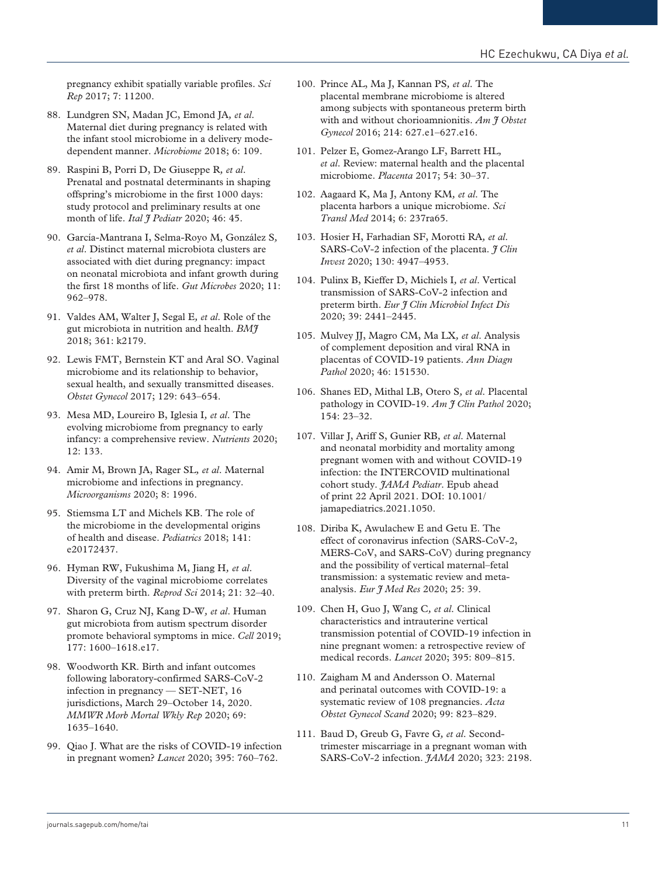pregnancy exhibit spatially variable profiles. *Sci Rep* 2017; 7: 11200.

- 88. Lundgren SN, Madan JC, Emond JA*, et al*. Maternal diet during pregnancy is related with the infant stool microbiome in a delivery modedependent manner. *Microbiome* 2018; 6: 109.
- 89. Raspini B, Porri D, De Giuseppe R*, et al*. Prenatal and postnatal determinants in shaping offspring's microbiome in the first 1000 days: study protocol and preliminary results at one month of life. *Ital J Pediatr* 2020; 46: 45.
- 90. García-Mantrana I, Selma-Royo M, González S*, et al*. Distinct maternal microbiota clusters are associated with diet during pregnancy: impact on neonatal microbiota and infant growth during the first 18 months of life. *Gut Microbes* 2020; 11: 962–978.
- 91. Valdes AM, Walter J, Segal E*, et al*. Role of the gut microbiota in nutrition and health. *BMJ* 2018; 361: k2179.
- 92. Lewis FMT, Bernstein KT and Aral SO. Vaginal microbiome and its relationship to behavior, sexual health, and sexually transmitted diseases. *Obstet Gynecol* 2017; 129: 643–654.
- 93. Mesa MD, Loureiro B, Iglesia I*, et al*. The evolving microbiome from pregnancy to early infancy: a comprehensive review. *Nutrients* 2020; 12: 133.
- 94. Amir M, Brown JA, Rager SL*, et al*. Maternal microbiome and infections in pregnancy. *Microorganisms* 2020; 8: 1996.
- 95. Stiemsma LT and Michels KB. The role of the microbiome in the developmental origins of health and disease. *Pediatrics* 2018; 141: e20172437.
- 96. Hyman RW, Fukushima M, Jiang H*, et al*. Diversity of the vaginal microbiome correlates with preterm birth. *Reprod Sci* 2014; 21: 32–40.
- 97. Sharon G, Cruz NJ, Kang D-W*, et al*. Human gut microbiota from autism spectrum disorder promote behavioral symptoms in mice. *Cell* 2019; 177: 1600–1618.e17.
- 98. Woodworth KR. Birth and infant outcomes following laboratory-confirmed SARS-CoV-2 infection in pregnancy — SET-NET, 16 jurisdictions, March 29–October 14, 2020. *MMWR Morb Mortal Wkly Rep* 2020; 69: 1635–1640.
- 99. Qiao J. What are the risks of COVID-19 infection in pregnant women? *Lancet* 2020; 395: 760–762.
- 100. Prince AL, Ma J, Kannan PS*, et al*. The placental membrane microbiome is altered among subjects with spontaneous preterm birth with and without chorioamnionitis. *Am*  $\hat{\tau}$  Obstet *Gynecol* 2016; 214: 627.e1–627.e16.
- 101. Pelzer E, Gomez-Arango LF, Barrett HL*, et al*. Review: maternal health and the placental microbiome. *Placenta* 2017; 54: 30–37.
- 102. Aagaard K, Ma J, Antony KM*, et al*. The placenta harbors a unique microbiome. *Sci Transl Med* 2014; 6: 237ra65.
- 103. Hosier H, Farhadian SF, Morotti RA*, et al*. SARS-CoV-2 infection of the placenta. *J Clin Invest* 2020; 130: 4947–4953.
- 104. Pulinx B, Kieffer D, Michiels I*, et al*. Vertical transmission of SARS-CoV-2 infection and preterm birth. *Eur J Clin Microbiol Infect Dis* 2020; 39: 2441–2445.
- 105. Mulvey JJ, Magro CM, Ma LX*, et al*. Analysis of complement deposition and viral RNA in placentas of COVID-19 patients. *Ann Diagn Pathol* 2020; 46: 151530.
- 106. Shanes ED, Mithal LB, Otero S*, et al*. Placental pathology in COVID-19. *Am J Clin Pathol* 2020; 154: 23–32.
- 107. Villar J, Ariff S, Gunier RB*, et al*. Maternal and neonatal morbidity and mortality among pregnant women with and without COVID-19 infection: the INTERCOVID multinational cohort study. *JAMA Pediatr*. Epub ahead of print 22 April 2021. DOI: 10.1001/ jamapediatrics.2021.1050.
- 108. Diriba K, Awulachew E and Getu E. The effect of coronavirus infection (SARS-CoV-2, MERS-CoV, and SARS-CoV) during pregnancy and the possibility of vertical maternal–fetal transmission: a systematic review and metaanalysis. *Eur J Med Res* 2020; 25: 39.
- 109. Chen H, Guo J, Wang C*, et al*. Clinical characteristics and intrauterine vertical transmission potential of COVID-19 infection in nine pregnant women: a retrospective review of medical records. *Lancet* 2020; 395: 809–815.
- 110. Zaigham M and Andersson O. Maternal and perinatal outcomes with COVID-19: a systematic review of 108 pregnancies. *Acta Obstet Gynecol Scand* 2020; 99: 823–829.
- 111. Baud D, Greub G, Favre G*, et al*. Secondtrimester miscarriage in a pregnant woman with SARS-CoV-2 infection. *JAMA* 2020; 323: 2198.